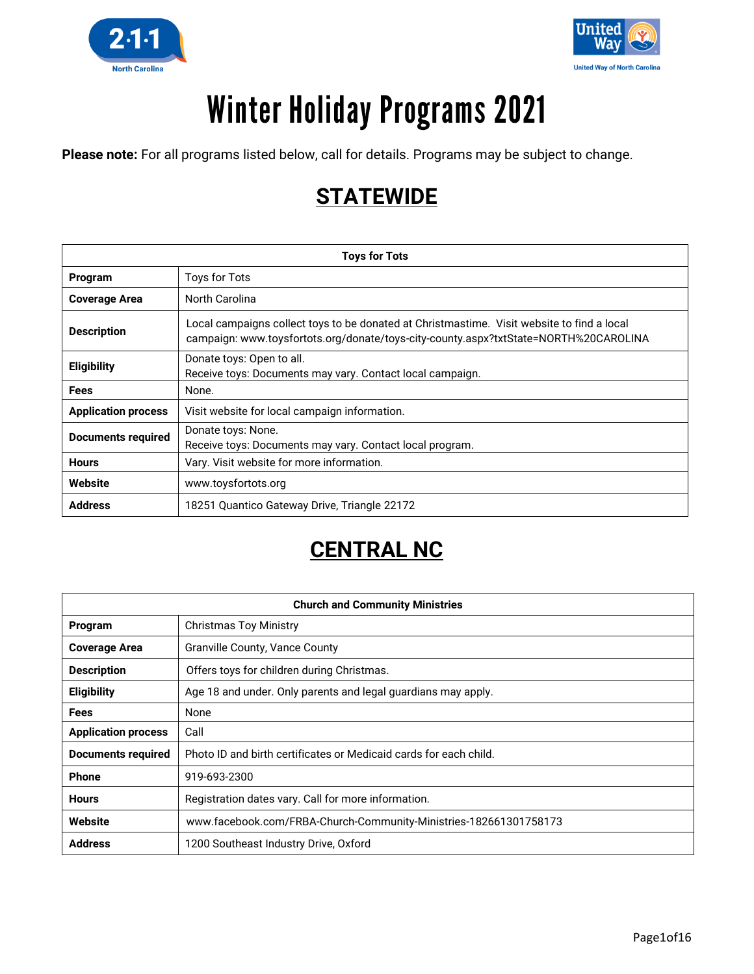



# **Winter Holiday Programs 2021**

**Please note:** For all programs listed below, call for details. Programs may be subject to change.

### **STATEWIDE**

| <b>Toys for Tots</b>       |                                                                                                                                                                                    |
|----------------------------|------------------------------------------------------------------------------------------------------------------------------------------------------------------------------------|
| Program                    | <b>Toys for Tots</b>                                                                                                                                                               |
| <b>Coverage Area</b>       | North Carolina                                                                                                                                                                     |
| <b>Description</b>         | Local campaigns collect toys to be donated at Christmastime. Visit website to find a local<br>campaign: www.toysfortots.org/donate/toys-city-county.aspx?txtState=NORTH%20CAROLINA |
| <b>Eligibility</b>         | Donate toys: Open to all.<br>Receive toys: Documents may vary. Contact local campaign.                                                                                             |
| <b>Fees</b>                | None.                                                                                                                                                                              |
| <b>Application process</b> | Visit website for local campaign information.                                                                                                                                      |
| <b>Documents required</b>  | Donate toys: None.<br>Receive toys: Documents may vary. Contact local program.                                                                                                     |
| <b>Hours</b>               | Vary. Visit website for more information.                                                                                                                                          |
| Website                    | www.toysfortots.org                                                                                                                                                                |
| <b>Address</b>             | 18251 Quantico Gateway Drive, Triangle 22172                                                                                                                                       |

### **CENTRAL NC**

| <b>Church and Community Ministries</b> |                                                                   |
|----------------------------------------|-------------------------------------------------------------------|
| Program                                | <b>Christmas Toy Ministry</b>                                     |
| <b>Coverage Area</b>                   | Granville County, Vance County                                    |
| <b>Description</b>                     | Offers toys for children during Christmas.                        |
| Eligibility                            | Age 18 and under. Only parents and legal guardians may apply.     |
| <b>Fees</b>                            | None                                                              |
| <b>Application process</b>             | Call                                                              |
| Documents required                     | Photo ID and birth certificates or Medicaid cards for each child. |
| <b>Phone</b>                           | 919-693-2300                                                      |
| <b>Hours</b>                           | Registration dates vary. Call for more information.               |
| Website                                | www.facebook.com/FRBA-Church-Community-Ministries-182661301758173 |
| <b>Address</b>                         | 1200 Southeast Industry Drive, Oxford                             |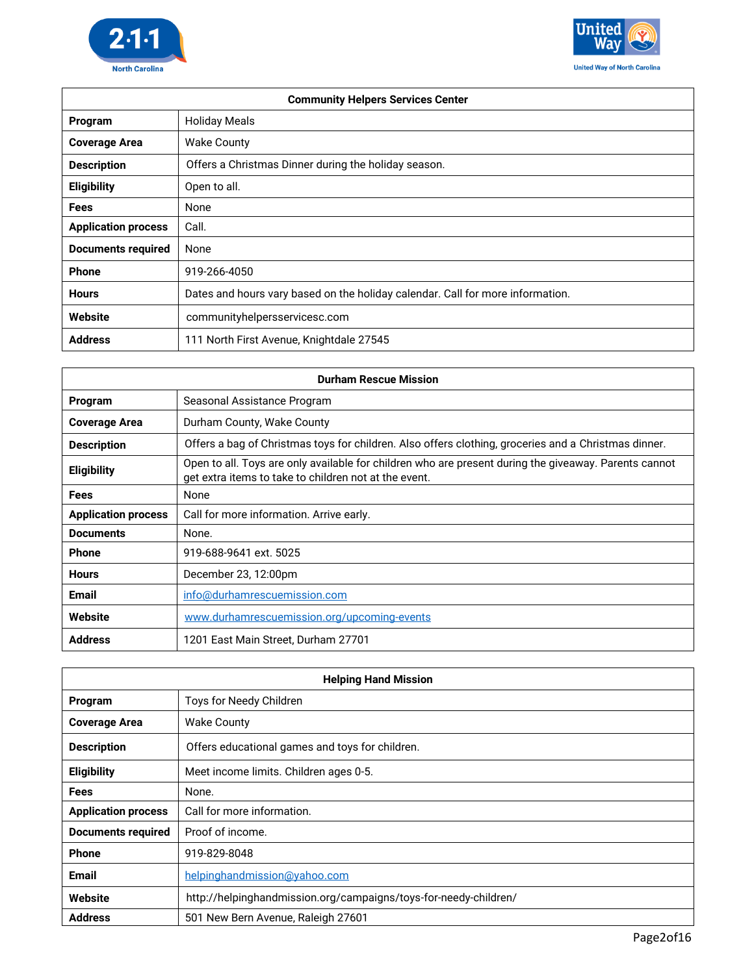



| <b>Community Helpers Services Center</b> |                                                                                |
|------------------------------------------|--------------------------------------------------------------------------------|
| Program                                  | <b>Holiday Meals</b>                                                           |
| <b>Coverage Area</b>                     | <b>Wake County</b>                                                             |
| <b>Description</b>                       | Offers a Christmas Dinner during the holiday season.                           |
| <b>Eligibility</b>                       | Open to all.                                                                   |
| <b>Fees</b>                              | None                                                                           |
| <b>Application process</b>               | Call.                                                                          |
| <b>Documents required</b>                | None                                                                           |
| <b>Phone</b>                             | 919-266-4050                                                                   |
| <b>Hours</b>                             | Dates and hours vary based on the holiday calendar. Call for more information. |
| Website                                  | communityhelpersservicesc.com                                                  |
| <b>Address</b>                           | 111 North First Avenue, Knightdale 27545                                       |

| <b>Durham Rescue Mission</b> |                                                                                                                                                                |
|------------------------------|----------------------------------------------------------------------------------------------------------------------------------------------------------------|
| Program                      | Seasonal Assistance Program                                                                                                                                    |
| <b>Coverage Area</b>         | Durham County, Wake County                                                                                                                                     |
| <b>Description</b>           | Offers a bag of Christmas toys for children. Also offers clothing, groceries and a Christmas dinner.                                                           |
| <b>Eligibility</b>           | Open to all. Toys are only available for children who are present during the giveaway. Parents cannot<br>get extra items to take to children not at the event. |
| <b>Fees</b>                  | None                                                                                                                                                           |
| <b>Application process</b>   | Call for more information. Arrive early.                                                                                                                       |
| <b>Documents</b>             | None.                                                                                                                                                          |
| <b>Phone</b>                 | 919-688-9641 ext. 5025                                                                                                                                         |
| <b>Hours</b>                 | December 23, 12:00pm                                                                                                                                           |
| <b>Email</b>                 | info@durhamrescuemission.com                                                                                                                                   |
| Website                      | www.durhamrescuemission.org/upcoming-events                                                                                                                    |
| <b>Address</b>               | 1201 East Main Street, Durham 27701                                                                                                                            |

| <b>Helping Hand Mission</b> |                                                                  |
|-----------------------------|------------------------------------------------------------------|
| Program                     | Toys for Needy Children                                          |
| <b>Coverage Area</b>        | <b>Wake County</b>                                               |
| <b>Description</b>          | Offers educational games and toys for children.                  |
| <b>Eligibility</b>          | Meet income limits. Children ages 0-5.                           |
| Fees                        | None.                                                            |
| <b>Application process</b>  | Call for more information.                                       |
| <b>Documents required</b>   | Proof of income.                                                 |
| <b>Phone</b>                | 919-829-8048                                                     |
| <b>Email</b>                | helpinghandmission@yahoo.com                                     |
| Website                     | http://helpinghandmission.org/campaigns/toys-for-needy-children/ |
| <b>Address</b>              | 501 New Bern Avenue, Raleigh 27601                               |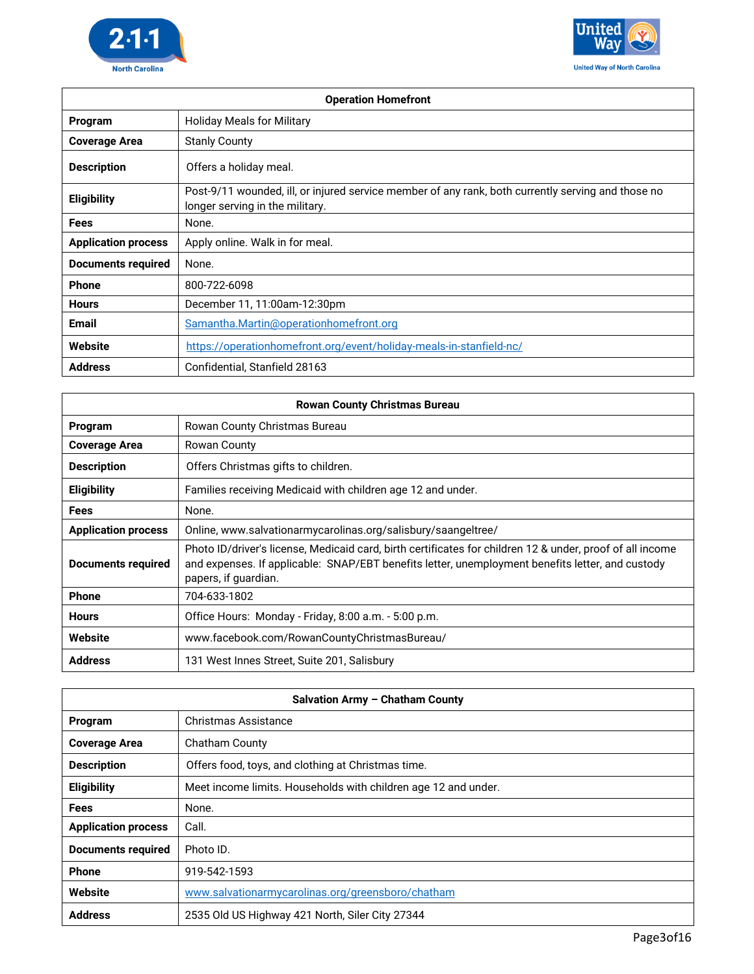



| <b>Operation Homefront</b> |                                                                                                                                       |
|----------------------------|---------------------------------------------------------------------------------------------------------------------------------------|
| Program                    | <b>Holiday Meals for Military</b>                                                                                                     |
| <b>Coverage Area</b>       | <b>Stanly County</b>                                                                                                                  |
| <b>Description</b>         | Offers a holiday meal.                                                                                                                |
| <b>Eligibility</b>         | Post-9/11 wounded, ill, or injured service member of any rank, both currently serving and those no<br>longer serving in the military. |
| Fees                       | None.                                                                                                                                 |
| <b>Application process</b> | Apply online. Walk in for meal.                                                                                                       |
| <b>Documents required</b>  | None.                                                                                                                                 |
| <b>Phone</b>               | 800-722-6098                                                                                                                          |
| <b>Hours</b>               | December 11, 11:00am-12:30pm                                                                                                          |
| <b>Email</b>               | Samantha.Martin@operationhomefront.org                                                                                                |
| Website                    | https://operationhomefront.org/event/holiday-meals-in-stanfield-nc/                                                                   |
| <b>Address</b>             | Confidential, Stanfield 28163                                                                                                         |

| <b>Rowan County Christmas Bureau</b> |                                                                                                                                                                                                                                       |
|--------------------------------------|---------------------------------------------------------------------------------------------------------------------------------------------------------------------------------------------------------------------------------------|
| Program                              | Rowan County Christmas Bureau                                                                                                                                                                                                         |
| <b>Coverage Area</b>                 | Rowan County                                                                                                                                                                                                                          |
| <b>Description</b>                   | Offers Christmas gifts to children.                                                                                                                                                                                                   |
| <b>Eligibility</b>                   | Families receiving Medicaid with children age 12 and under.                                                                                                                                                                           |
| Fees                                 | None.                                                                                                                                                                                                                                 |
| <b>Application process</b>           | Online, www.salvationarmycarolinas.org/salisbury/saangeltree/                                                                                                                                                                         |
| <b>Documents required</b>            | Photo ID/driver's license, Medicaid card, birth certificates for children 12 & under, proof of all income<br>and expenses. If applicable: SNAP/EBT benefits letter, unemployment benefits letter, and custody<br>papers, if guardian. |
| <b>Phone</b>                         | 704-633-1802                                                                                                                                                                                                                          |
| <b>Hours</b>                         | Office Hours: Monday - Friday, 8:00 a.m. - 5:00 p.m.                                                                                                                                                                                  |
| Website                              | www.facebook.com/RowanCountyChristmasBureau/                                                                                                                                                                                          |
| <b>Address</b>                       | 131 West Innes Street, Suite 201, Salisbury                                                                                                                                                                                           |

| Salvation Army - Chatham County |                                                                |
|---------------------------------|----------------------------------------------------------------|
| Program                         | Christmas Assistance                                           |
| <b>Coverage Area</b>            | Chatham County                                                 |
| <b>Description</b>              | Offers food, toys, and clothing at Christmas time.             |
| <b>Eligibility</b>              | Meet income limits. Households with children age 12 and under. |
| <b>Fees</b>                     | None.                                                          |
| <b>Application process</b>      | Call.                                                          |
| <b>Documents required</b>       | Photo ID.                                                      |
| <b>Phone</b>                    | 919-542-1593                                                   |
| Website                         | www.salvationarmycarolinas.org/greensboro/chatham              |
| <b>Address</b>                  | 2535 Old US Highway 421 North, Siler City 27344                |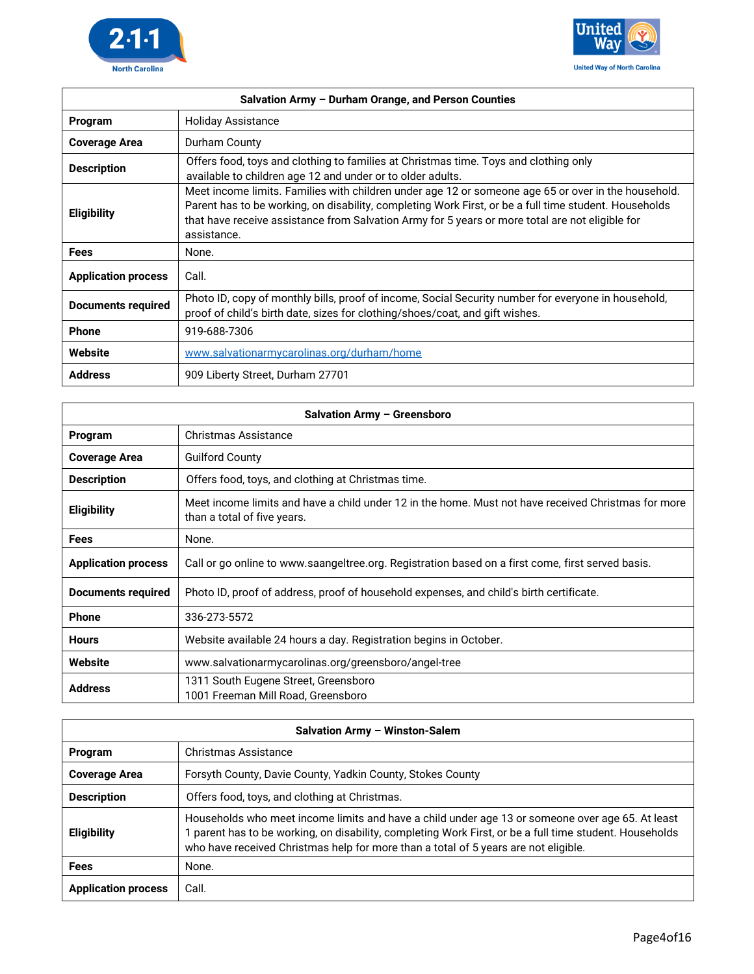

Г



| Salvation Army - Durham Orange, and Person Counties |                                                                                                                                                                                                                                                                                                                                |
|-----------------------------------------------------|--------------------------------------------------------------------------------------------------------------------------------------------------------------------------------------------------------------------------------------------------------------------------------------------------------------------------------|
| Program                                             | <b>Holiday Assistance</b>                                                                                                                                                                                                                                                                                                      |
| <b>Coverage Area</b>                                | Durham County                                                                                                                                                                                                                                                                                                                  |
| <b>Description</b>                                  | Offers food, toys and clothing to families at Christmas time. Toys and clothing only<br>available to children age 12 and under or to older adults.                                                                                                                                                                             |
| <b>Eligibility</b>                                  | Meet income limits. Families with children under age 12 or someone age 65 or over in the household.<br>Parent has to be working, on disability, completing Work First, or be a full time student. Households<br>that have receive assistance from Salvation Army for 5 years or more total are not eligible for<br>assistance. |
| <b>Fees</b>                                         | None.                                                                                                                                                                                                                                                                                                                          |
| <b>Application process</b>                          | Call.                                                                                                                                                                                                                                                                                                                          |
| <b>Documents required</b>                           | Photo ID, copy of monthly bills, proof of income, Social Security number for everyone in household,<br>proof of child's birth date, sizes for clothing/shoes/coat, and gift wishes.                                                                                                                                            |
| <b>Phone</b>                                        | 919-688-7306                                                                                                                                                                                                                                                                                                                   |
| Website                                             | www.salvationarmycarolinas.org/durham/home                                                                                                                                                                                                                                                                                     |
| <b>Address</b>                                      | 909 Liberty Street, Durham 27701                                                                                                                                                                                                                                                                                               |

| Salvation Army - Greensboro |                                                                                                                                    |
|-----------------------------|------------------------------------------------------------------------------------------------------------------------------------|
| Program                     | Christmas Assistance                                                                                                               |
| <b>Coverage Area</b>        | <b>Guilford County</b>                                                                                                             |
| <b>Description</b>          | Offers food, toys, and clothing at Christmas time.                                                                                 |
| <b>Eligibility</b>          | Meet income limits and have a child under 12 in the home. Must not have received Christmas for more<br>than a total of five years. |
| <b>Fees</b>                 | None.                                                                                                                              |
| <b>Application process</b>  | Call or go online to www.saangeltree.org. Registration based on a first come, first served basis.                                  |
| <b>Documents required</b>   | Photo ID, proof of address, proof of household expenses, and child's birth certificate.                                            |
| <b>Phone</b>                | 336-273-5572                                                                                                                       |
| <b>Hours</b>                | Website available 24 hours a day. Registration begins in October.                                                                  |
| Website                     | www.salvationarmycarolinas.org/greensboro/angel-tree                                                                               |
| <b>Address</b>              | 1311 South Eugene Street, Greensboro<br>1001 Freeman Mill Road, Greensboro                                                         |

| Salvation Army - Winston-Salem |                                                                                                                                                                                                                                                                                                  |
|--------------------------------|--------------------------------------------------------------------------------------------------------------------------------------------------------------------------------------------------------------------------------------------------------------------------------------------------|
| Program                        | Christmas Assistance                                                                                                                                                                                                                                                                             |
| <b>Coverage Area</b>           | Forsyth County, Davie County, Yadkin County, Stokes County                                                                                                                                                                                                                                       |
| <b>Description</b>             | Offers food, toys, and clothing at Christmas.                                                                                                                                                                                                                                                    |
| <b>Eligibility</b>             | Households who meet income limits and have a child under age 13 or someone over age 65. At least<br>parent has to be working, on disability, completing Work First, or be a full time student. Households<br>who have received Christmas help for more than a total of 5 years are not eligible. |
| <b>Fees</b>                    | None.                                                                                                                                                                                                                                                                                            |
| <b>Application process</b>     | Call.                                                                                                                                                                                                                                                                                            |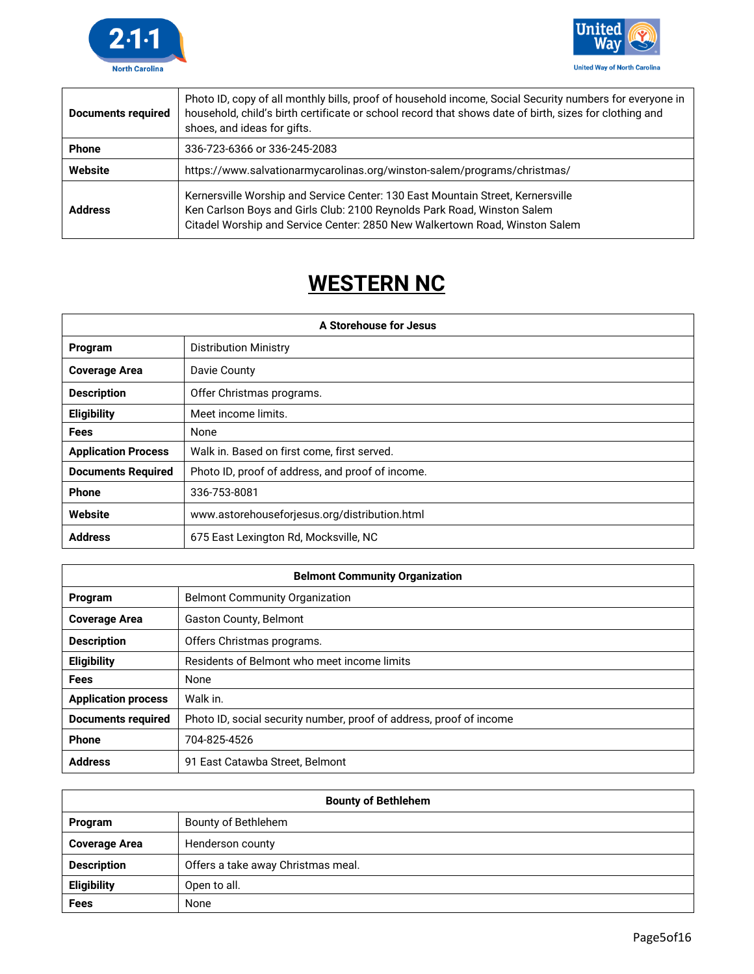



| <b>Documents required</b> | Photo ID, copy of all monthly bills, proof of household income, Social Security numbers for everyone in<br>household, child's birth certificate or school record that shows date of birth, sizes for clothing and<br>shoes, and ideas for gifts. |
|---------------------------|--------------------------------------------------------------------------------------------------------------------------------------------------------------------------------------------------------------------------------------------------|
| <b>Phone</b>              | 336-723-6366 or 336-245-2083                                                                                                                                                                                                                     |
| Website                   | https://www.salvationarmycarolinas.org/winston-salem/programs/christmas/                                                                                                                                                                         |
| <b>Address</b>            | Kernersville Worship and Service Center: 130 East Mountain Street, Kernersville<br>Ken Carlson Boys and Girls Club: 2100 Reynolds Park Road, Winston Salem<br>Citadel Worship and Service Center: 2850 New Walkertown Road, Winston Salem        |

## **WESTERN NC**

| A Storehouse for Jesus     |                                                  |
|----------------------------|--------------------------------------------------|
| Program                    | <b>Distribution Ministry</b>                     |
| <b>Coverage Area</b>       | Davie County                                     |
| <b>Description</b>         | Offer Christmas programs.                        |
| Eligibility                | Meet income limits.                              |
| <b>Fees</b>                | None                                             |
| <b>Application Process</b> | Walk in. Based on first come, first served.      |
| <b>Documents Required</b>  | Photo ID, proof of address, and proof of income. |
| <b>Phone</b>               | 336-753-8081                                     |
| Website                    | www.astorehouseforjesus.org/distribution.html    |
| <b>Address</b>             | 675 East Lexington Rd, Mocksville, NC            |

| <b>Belmont Community Organization</b> |                                                                     |
|---------------------------------------|---------------------------------------------------------------------|
| Program                               | <b>Belmont Community Organization</b>                               |
| <b>Coverage Area</b>                  | <b>Gaston County, Belmont</b>                                       |
| <b>Description</b>                    | Offers Christmas programs.                                          |
| <b>Eligibility</b>                    | Residents of Belmont who meet income limits                         |
| Fees                                  | None                                                                |
| <b>Application process</b>            | Walk in.                                                            |
| <b>Documents required</b>             | Photo ID, social security number, proof of address, proof of income |
| <b>Phone</b>                          | 704-825-4526                                                        |
| <b>Address</b>                        | 91 East Catawba Street, Belmont                                     |

| <b>Bounty of Bethlehem</b> |                                    |
|----------------------------|------------------------------------|
| Program                    | Bounty of Bethlehem                |
| <b>Coverage Area</b>       | Henderson county                   |
| <b>Description</b>         | Offers a take away Christmas meal. |
| Eligibility                | Open to all.                       |
| <b>Fees</b>                | None                               |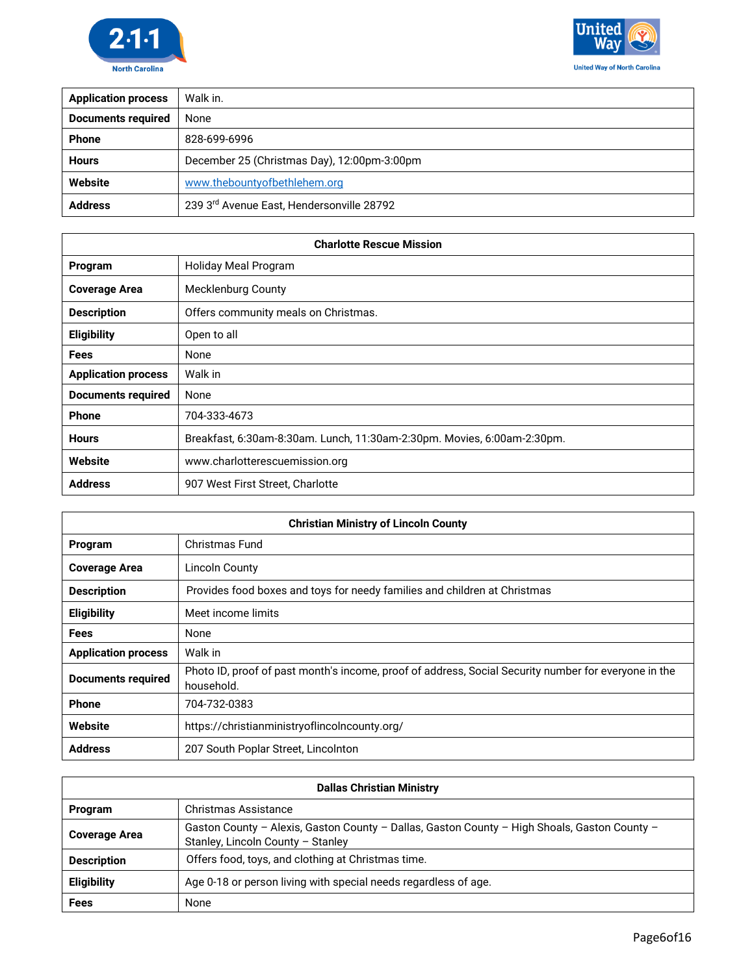



| <b>Application process</b> | Walk in.                                    |
|----------------------------|---------------------------------------------|
| <b>Documents required</b>  | None                                        |
| <b>Phone</b>               | 828-699-6996                                |
| <b>Hours</b>               | December 25 (Christmas Day), 12:00pm-3:00pm |
| Website                    | www.thebountyofbethlehem.org                |
| <b>Address</b>             | 239 3rd Avenue East, Hendersonville 28792   |

| <b>Charlotte Rescue Mission</b> |                                                                         |
|---------------------------------|-------------------------------------------------------------------------|
| Program                         | Holiday Meal Program                                                    |
| <b>Coverage Area</b>            | <b>Mecklenburg County</b>                                               |
| <b>Description</b>              | Offers community meals on Christmas.                                    |
| <b>Eligibility</b>              | Open to all                                                             |
| Fees                            | None                                                                    |
| <b>Application process</b>      | Walk in                                                                 |
| <b>Documents required</b>       | None                                                                    |
| <b>Phone</b>                    | 704-333-4673                                                            |
| <b>Hours</b>                    | Breakfast, 6:30am-8:30am. Lunch, 11:30am-2:30pm. Movies, 6:00am-2:30pm. |
| Website                         | www.charlotterescuemission.org                                          |
| <b>Address</b>                  | 907 West First Street, Charlotte                                        |

| <b>Christian Ministry of Lincoln County</b> |                                                                                                                    |
|---------------------------------------------|--------------------------------------------------------------------------------------------------------------------|
| Program                                     | Christmas Fund                                                                                                     |
| <b>Coverage Area</b>                        | Lincoln County                                                                                                     |
| <b>Description</b>                          | Provides food boxes and toys for needy families and children at Christmas                                          |
| <b>Eligibility</b>                          | Meet income limits                                                                                                 |
| <b>Fees</b>                                 | None                                                                                                               |
| <b>Application process</b>                  | Walk in                                                                                                            |
| <b>Documents required</b>                   | Photo ID, proof of past month's income, proof of address, Social Security number for everyone in the<br>household. |
| <b>Phone</b>                                | 704-732-0383                                                                                                       |
| Website                                     | https://christianministryoflincolncounty.org/                                                                      |
| <b>Address</b>                              | 207 South Poplar Street, Lincolnton                                                                                |

| <b>Dallas Christian Ministry</b> |                                                                                                                                   |
|----------------------------------|-----------------------------------------------------------------------------------------------------------------------------------|
| <b>Program</b>                   | Christmas Assistance                                                                                                              |
| <b>Coverage Area</b>             | Gaston County - Alexis, Gaston County - Dallas, Gaston County - High Shoals, Gaston County -<br>Stanley, Lincoln County - Stanley |
| <b>Description</b>               | Offers food, toys, and clothing at Christmas time.                                                                                |
| <b>Eligibility</b>               | Age 0-18 or person living with special needs regardless of age.                                                                   |
| <b>Fees</b>                      | None                                                                                                                              |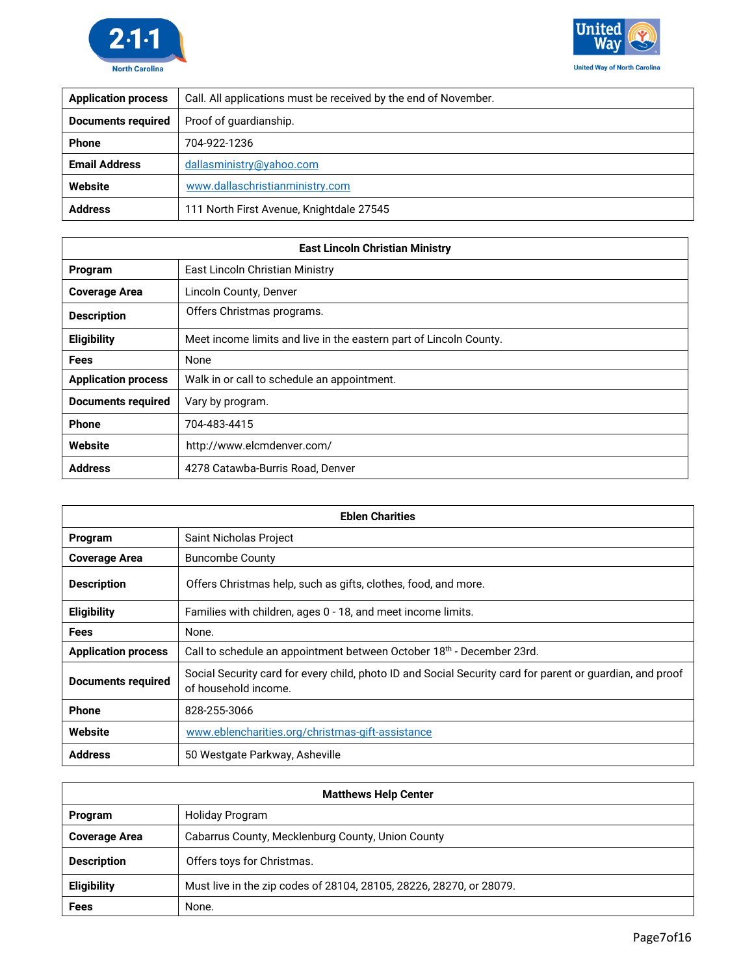



| <b>Application process</b> | Call. All applications must be received by the end of November. |
|----------------------------|-----------------------------------------------------------------|
| <b>Documents required</b>  | Proof of quardianship.                                          |
| <b>Phone</b>               | 704-922-1236                                                    |
| <b>Email Address</b>       | dallasministry@yahoo.com                                        |
| Website                    | www.dallaschristianministry.com                                 |
| <b>Address</b>             | 111 North First Avenue, Knightdale 27545                        |

| <b>East Lincoln Christian Ministry</b> |                                                                    |
|----------------------------------------|--------------------------------------------------------------------|
| Program                                | East Lincoln Christian Ministry                                    |
| <b>Coverage Area</b>                   | Lincoln County, Denver                                             |
| <b>Description</b>                     | Offers Christmas programs.                                         |
| <b>Eligibility</b>                     | Meet income limits and live in the eastern part of Lincoln County. |
| <b>Fees</b>                            | None                                                               |
| <b>Application process</b>             | Walk in or call to schedule an appointment.                        |
| Documents required                     | Vary by program.                                                   |
| <b>Phone</b>                           | 704-483-4415                                                       |
| Website                                | http://www.elcmdenver.com/                                         |
| <b>Address</b>                         | 4278 Catawba-Burris Road, Denver                                   |

| <b>Eblen Charities</b>     |                                                                                                                                   |
|----------------------------|-----------------------------------------------------------------------------------------------------------------------------------|
| Program                    | Saint Nicholas Project                                                                                                            |
| <b>Coverage Area</b>       | <b>Buncombe County</b>                                                                                                            |
| <b>Description</b>         | Offers Christmas help, such as gifts, clothes, food, and more.                                                                    |
| <b>Eligibility</b>         | Families with children, ages 0 - 18, and meet income limits.                                                                      |
| <b>Fees</b>                | None.                                                                                                                             |
| <b>Application process</b> | Call to schedule an appointment between October 18th - December 23rd.                                                             |
| <b>Documents required</b>  | Social Security card for every child, photo ID and Social Security card for parent or guardian, and proof<br>of household income. |
| Phone                      | 828-255-3066                                                                                                                      |
| Website                    | www.eblencharities.org/christmas-gift-assistance                                                                                  |
| <b>Address</b>             | 50 Westgate Parkway, Asheville                                                                                                    |

| <b>Matthews Help Center</b> |                                                                     |
|-----------------------------|---------------------------------------------------------------------|
| Program                     | Holiday Program                                                     |
| <b>Coverage Area</b>        | Cabarrus County, Mecklenburg County, Union County                   |
| <b>Description</b>          | Offers toys for Christmas.                                          |
| <b>Eligibility</b>          | Must live in the zip codes of 28104, 28105, 28226, 28270, or 28079. |
| Fees                        | None.                                                               |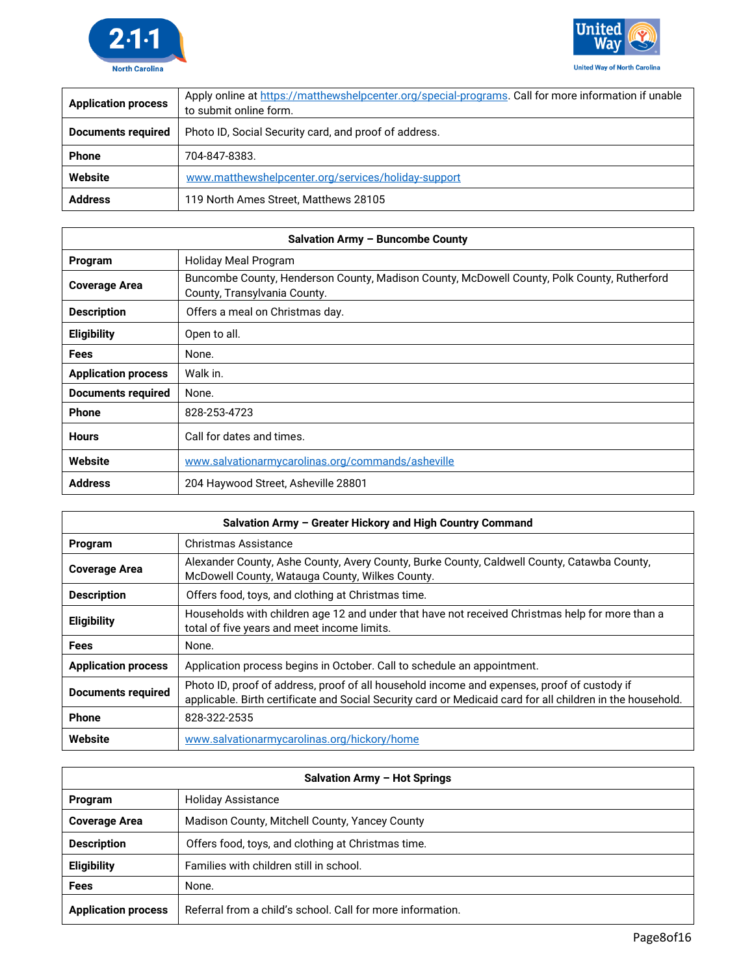



| <b>Application process</b> | Apply online at https://matthewshelpcenter.org/special-programs. Call for more information if unable<br>to submit online form. |
|----------------------------|--------------------------------------------------------------------------------------------------------------------------------|
| <b>Documents required</b>  | Photo ID, Social Security card, and proof of address.                                                                          |
| <b>Phone</b>               | 704-847-8383.                                                                                                                  |
| Website                    | www.matthewshelpcenter.org/services/holiday-support                                                                            |
| <b>Address</b>             | 119 North Ames Street, Matthews 28105                                                                                          |

| Salvation Army - Buncombe County |                                                                                                                             |
|----------------------------------|-----------------------------------------------------------------------------------------------------------------------------|
| Program                          | Holiday Meal Program                                                                                                        |
| <b>Coverage Area</b>             | Buncombe County, Henderson County, Madison County, McDowell County, Polk County, Rutherford<br>County, Transylvania County. |
| <b>Description</b>               | Offers a meal on Christmas day.                                                                                             |
| <b>Eligibility</b>               | Open to all.                                                                                                                |
| <b>Fees</b>                      | None.                                                                                                                       |
| <b>Application process</b>       | Walk in.                                                                                                                    |
| <b>Documents required</b>        | None.                                                                                                                       |
| <b>Phone</b>                     | 828-253-4723                                                                                                                |
| <b>Hours</b>                     | Call for dates and times.                                                                                                   |
| Website                          | www.salvationarmycarolinas.org/commands/asheville                                                                           |
| <b>Address</b>                   | 204 Haywood Street, Asheville 28801                                                                                         |

| Salvation Army - Greater Hickory and High Country Command |                                                                                                                                                                                                           |
|-----------------------------------------------------------|-----------------------------------------------------------------------------------------------------------------------------------------------------------------------------------------------------------|
| Program                                                   | Christmas Assistance                                                                                                                                                                                      |
| <b>Coverage Area</b>                                      | Alexander County, Ashe County, Avery County, Burke County, Caldwell County, Catawba County,<br>McDowell County, Watauga County, Wilkes County.                                                            |
| <b>Description</b>                                        | Offers food, toys, and clothing at Christmas time.                                                                                                                                                        |
| <b>Eligibility</b>                                        | Households with children age 12 and under that have not received Christmas help for more than a<br>total of five years and meet income limits.                                                            |
| <b>Fees</b>                                               | None.                                                                                                                                                                                                     |
| <b>Application process</b>                                | Application process begins in October. Call to schedule an appointment.                                                                                                                                   |
| <b>Documents required</b>                                 | Photo ID, proof of address, proof of all household income and expenses, proof of custody if<br>applicable. Birth certificate and Social Security card or Medicaid card for all children in the household. |
| <b>Phone</b>                                              | 828-322-2535                                                                                                                                                                                              |
| Website                                                   | www.salvationarmycarolinas.org/hickory/home                                                                                                                                                               |

| Salvation Army - Hot Springs |                                                            |
|------------------------------|------------------------------------------------------------|
| Program                      | <b>Holiday Assistance</b>                                  |
| <b>Coverage Area</b>         | Madison County, Mitchell County, Yancey County             |
| <b>Description</b>           | Offers food, toys, and clothing at Christmas time.         |
| Eligibility                  | Families with children still in school.                    |
| Fees                         | None.                                                      |
| <b>Application process</b>   | Referral from a child's school. Call for more information. |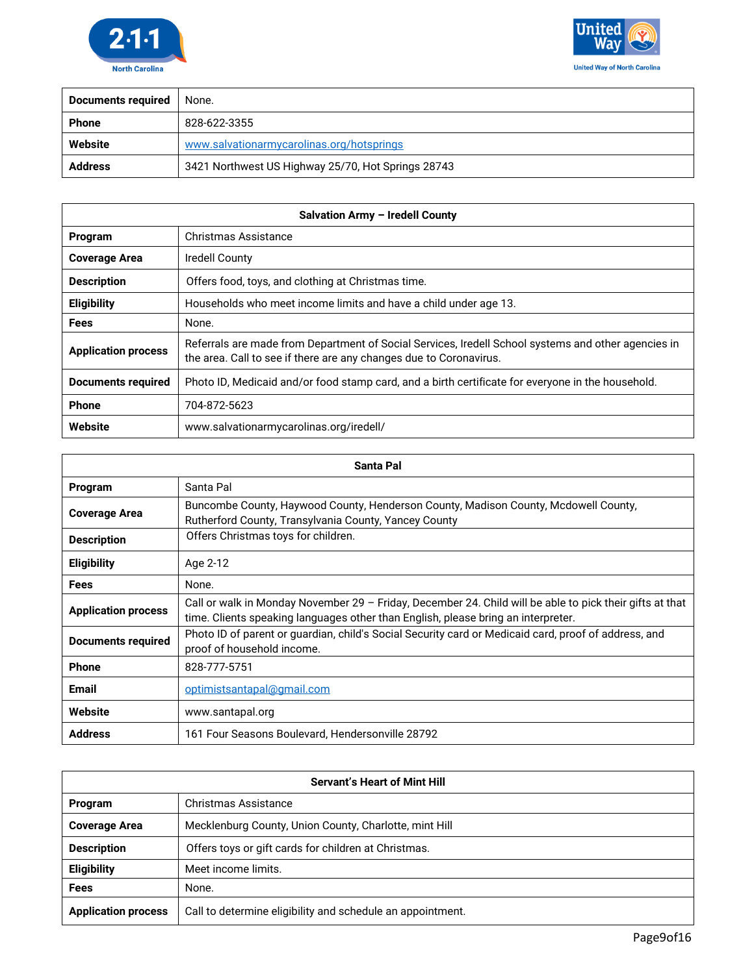



| <b>Documents required</b> | None.                                              |
|---------------------------|----------------------------------------------------|
| <b>Phone</b>              | 828-622-3355                                       |
| Website                   | www.salvationarmycarolinas.org/hotsprings          |
| <b>Address</b>            | 3421 Northwest US Highway 25/70, Hot Springs 28743 |

| Salvation Army - Iredell County |                                                                                                                                                                           |
|---------------------------------|---------------------------------------------------------------------------------------------------------------------------------------------------------------------------|
| Program                         | Christmas Assistance                                                                                                                                                      |
| <b>Coverage Area</b>            | Iredell County                                                                                                                                                            |
| <b>Description</b>              | Offers food, toys, and clothing at Christmas time.                                                                                                                        |
| <b>Eligibility</b>              | Households who meet income limits and have a child under age 13.                                                                                                          |
| <b>Fees</b>                     | None.                                                                                                                                                                     |
| <b>Application process</b>      | Referrals are made from Department of Social Services, Iredell School systems and other agencies in<br>the area. Call to see if there are any changes due to Coronavirus. |
| Documents required              | Photo ID, Medicaid and/or food stamp card, and a birth certificate for everyone in the household.                                                                         |
| <b>Phone</b>                    | 704-872-5623                                                                                                                                                              |
| Website                         | www.salvationarmycarolinas.org/iredell/                                                                                                                                   |

| <b>Santa Pal</b>           |                                                                                                                                                                                               |
|----------------------------|-----------------------------------------------------------------------------------------------------------------------------------------------------------------------------------------------|
| Program                    | Santa Pal                                                                                                                                                                                     |
| <b>Coverage Area</b>       | Buncombe County, Haywood County, Henderson County, Madison County, Mcdowell County,<br>Rutherford County, Transylvania County, Yancey County                                                  |
| <b>Description</b>         | Offers Christmas toys for children.                                                                                                                                                           |
| <b>Eligibility</b>         | Age 2-12                                                                                                                                                                                      |
| <b>Fees</b>                | None.                                                                                                                                                                                         |
| <b>Application process</b> | Call or walk in Monday November 29 - Friday, December 24. Child will be able to pick their gifts at that<br>time. Clients speaking languages other than English, please bring an interpreter. |
| <b>Documents required</b>  | Photo ID of parent or guardian, child's Social Security card or Medicaid card, proof of address, and<br>proof of household income.                                                            |
| <b>Phone</b>               | 828-777-5751                                                                                                                                                                                  |
| <b>Email</b>               | optimistsantapal@gmail.com                                                                                                                                                                    |
| Website                    | www.santapal.org                                                                                                                                                                              |
| <b>Address</b>             | 161 Four Seasons Boulevard, Hendersonville 28792                                                                                                                                              |

| <b>Servant's Heart of Mint Hill</b> |                                                            |
|-------------------------------------|------------------------------------------------------------|
| Program                             | <b>Christmas Assistance</b>                                |
| <b>Coverage Area</b>                | Mecklenburg County, Union County, Charlotte, mint Hill     |
| <b>Description</b>                  | Offers toys or gift cards for children at Christmas.       |
| <b>Eligibility</b>                  | Meet income limits.                                        |
| <b>Fees</b>                         | None.                                                      |
| <b>Application process</b>          | Call to determine eligibility and schedule an appointment. |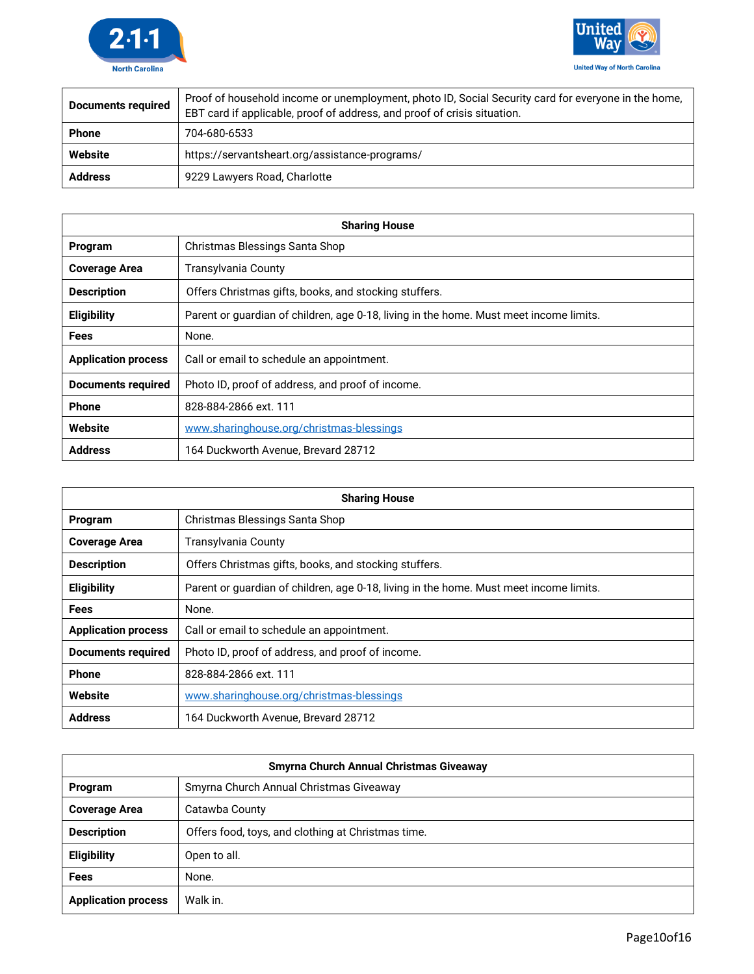



| <b>Documents required</b> | Proof of household income or unemployment, photo ID, Social Security card for everyone in the home,<br>EBT card if applicable, proof of address, and proof of crisis situation. |
|---------------------------|---------------------------------------------------------------------------------------------------------------------------------------------------------------------------------|
| <b>Phone</b>              | 704-680-6533                                                                                                                                                                    |
| Website                   | https://servantsheart.org/assistance-programs/                                                                                                                                  |
| <b>Address</b>            | 9229 Lawyers Road, Charlotte                                                                                                                                                    |

| <b>Sharing House</b>       |                                                                                        |
|----------------------------|----------------------------------------------------------------------------------------|
| Program                    | Christmas Blessings Santa Shop                                                         |
| <b>Coverage Area</b>       | Transylvania County                                                                    |
| <b>Description</b>         | Offers Christmas gifts, books, and stocking stuffers.                                  |
| <b>Eligibility</b>         | Parent or guardian of children, age 0-18, living in the home. Must meet income limits. |
| <b>Fees</b>                | None.                                                                                  |
| <b>Application process</b> | Call or email to schedule an appointment.                                              |
| <b>Documents required</b>  | Photo ID, proof of address, and proof of income.                                       |
| <b>Phone</b>               | 828-884-2866 ext. 111                                                                  |
| Website                    | www.sharinghouse.org/christmas-blessings                                               |
| <b>Address</b>             | 164 Duckworth Avenue. Brevard 28712                                                    |

| <b>Sharing House</b>       |                                                                                        |
|----------------------------|----------------------------------------------------------------------------------------|
| Program                    | Christmas Blessings Santa Shop                                                         |
| <b>Coverage Area</b>       | <b>Transylvania County</b>                                                             |
| <b>Description</b>         | Offers Christmas gifts, books, and stocking stuffers.                                  |
| <b>Eligibility</b>         | Parent or guardian of children, age 0-18, living in the home. Must meet income limits. |
| <b>Fees</b>                | None.                                                                                  |
| <b>Application process</b> | Call or email to schedule an appointment.                                              |
| <b>Documents required</b>  | Photo ID, proof of address, and proof of income.                                       |
| <b>Phone</b>               | 828-884-2866 ext. 111                                                                  |
| Website                    | www.sharinghouse.org/christmas-blessings                                               |
| <b>Address</b>             | 164 Duckworth Avenue, Brevard 28712                                                    |

| <b>Smyrna Church Annual Christmas Giveaway</b> |                                                    |
|------------------------------------------------|----------------------------------------------------|
| Program                                        | Smyrna Church Annual Christmas Giveaway            |
| <b>Coverage Area</b>                           | Catawba County                                     |
| <b>Description</b>                             | Offers food, toys, and clothing at Christmas time. |
| <b>Eligibility</b>                             | Open to all.                                       |
| <b>Fees</b>                                    | None.                                              |
| <b>Application process</b>                     | Walk in.                                           |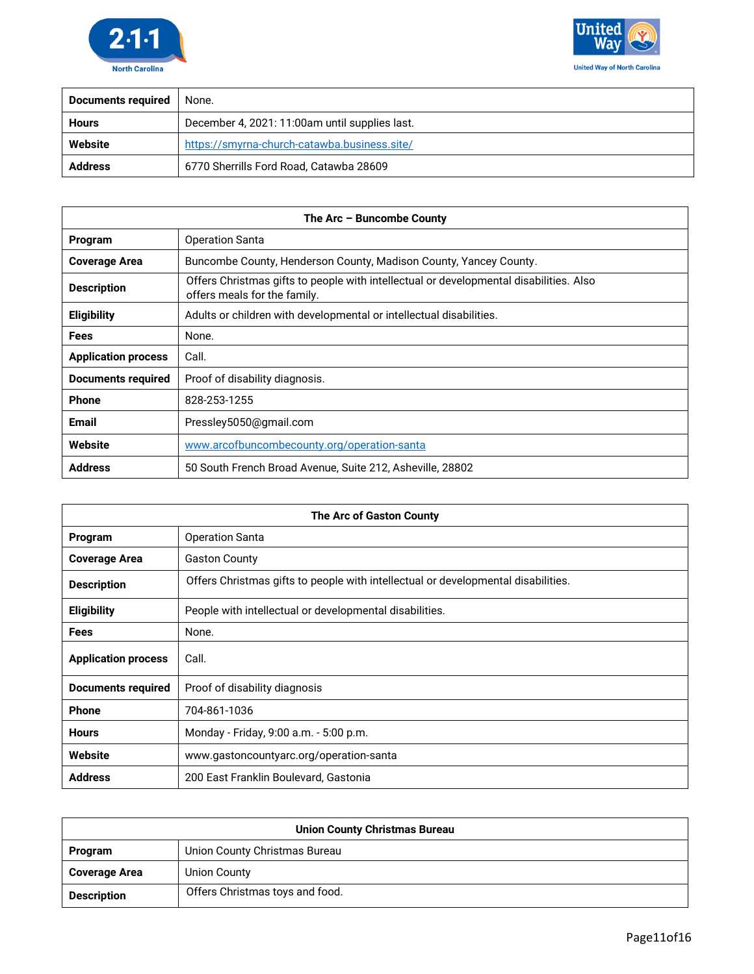



| Documents required | None.                                          |
|--------------------|------------------------------------------------|
| <b>Hours</b>       | December 4, 2021: 11:00am until supplies last. |
| Website            | https://smyrna-church-catawba.business.site/   |
| <b>Address</b>     | 6770 Sherrills Ford Road, Catawba 28609        |

| The Arc - Buncombe County  |                                                                                                                        |
|----------------------------|------------------------------------------------------------------------------------------------------------------------|
| Program                    | <b>Operation Santa</b>                                                                                                 |
| <b>Coverage Area</b>       | Buncombe County, Henderson County, Madison County, Yancey County.                                                      |
| <b>Description</b>         | Offers Christmas gifts to people with intellectual or developmental disabilities. Also<br>offers meals for the family. |
| <b>Eligibility</b>         | Adults or children with developmental or intellectual disabilities.                                                    |
| <b>Fees</b>                | None.                                                                                                                  |
| <b>Application process</b> | Call.                                                                                                                  |
| Documents required         | Proof of disability diagnosis.                                                                                         |
| <b>Phone</b>               | 828-253-1255                                                                                                           |
| <b>Email</b>               | Pressley5050@gmail.com                                                                                                 |
| Website                    | www.arcofbuncombecounty.org/operation-santa                                                                            |
| <b>Address</b>             | 50 South French Broad Avenue, Suite 212, Asheville, 28802                                                              |

| <b>The Arc of Gaston County</b> |                                                                                   |
|---------------------------------|-----------------------------------------------------------------------------------|
| Program                         | <b>Operation Santa</b>                                                            |
| <b>Coverage Area</b>            | <b>Gaston County</b>                                                              |
| <b>Description</b>              | Offers Christmas gifts to people with intellectual or developmental disabilities. |
| <b>Eligibility</b>              | People with intellectual or developmental disabilities.                           |
| <b>Fees</b>                     | None.                                                                             |
| <b>Application process</b>      | Call.                                                                             |
| <b>Documents required</b>       | Proof of disability diagnosis                                                     |
| <b>Phone</b>                    | 704-861-1036                                                                      |
| <b>Hours</b>                    | Monday - Friday, 9:00 a.m. - 5:00 p.m.                                            |
| Website                         | www.gastoncountyarc.org/operation-santa                                           |
| <b>Address</b>                  | 200 East Franklin Boulevard, Gastonia                                             |

| <b>Union County Christmas Bureau</b> |                                 |
|--------------------------------------|---------------------------------|
| <b>Program</b>                       | Union County Christmas Bureau   |
| <b>Coverage Area</b>                 | Union County                    |
| <b>Description</b>                   | Offers Christmas toys and food. |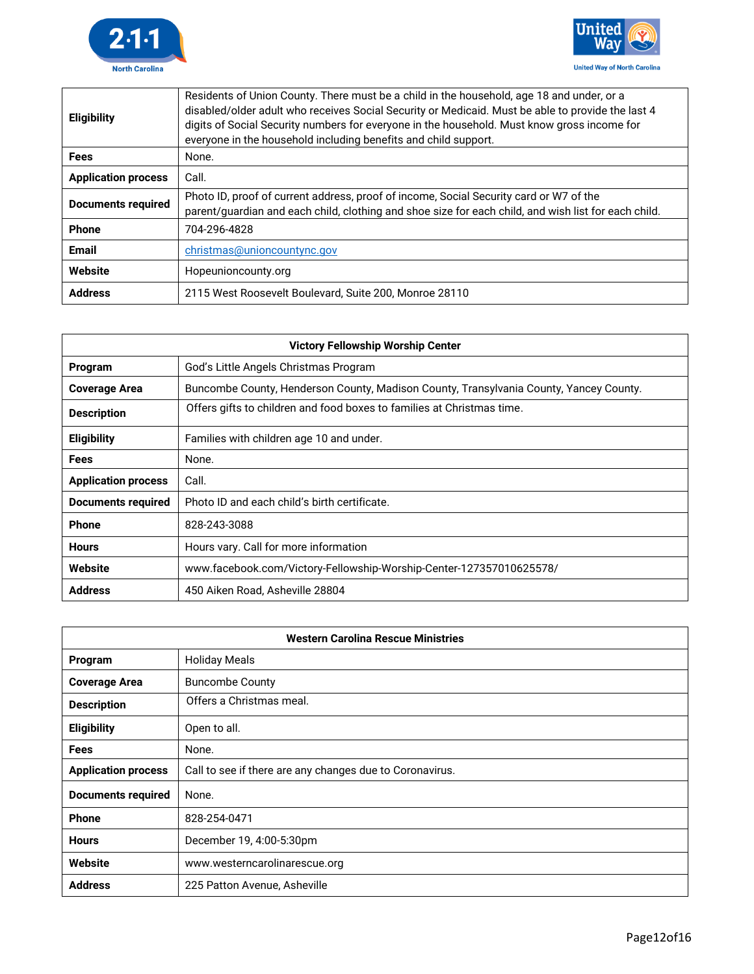



| <b>Eligibility</b>         | Residents of Union County. There must be a child in the household, age 18 and under, or a<br>disabled/older adult who receives Social Security or Medicaid. Must be able to provide the last 4<br>digits of Social Security numbers for everyone in the household. Must know gross income for<br>everyone in the household including benefits and child support. |
|----------------------------|------------------------------------------------------------------------------------------------------------------------------------------------------------------------------------------------------------------------------------------------------------------------------------------------------------------------------------------------------------------|
| <b>Fees</b>                | None.                                                                                                                                                                                                                                                                                                                                                            |
| <b>Application process</b> | Call.                                                                                                                                                                                                                                                                                                                                                            |
| Documents required         | Photo ID, proof of current address, proof of income, Social Security card or W7 of the<br>parent/quardian and each child, clothing and shoe size for each child, and wish list for each child.                                                                                                                                                                   |
| Phone                      | 704-296-4828                                                                                                                                                                                                                                                                                                                                                     |
| <b>Email</b>               | christmas@unioncountync.gov                                                                                                                                                                                                                                                                                                                                      |
| Website                    | Hopeunioncounty.org                                                                                                                                                                                                                                                                                                                                              |
| <b>Address</b>             | 2115 West Roosevelt Boulevard, Suite 200, Monroe 28110                                                                                                                                                                                                                                                                                                           |

| <b>Victory Fellowship Worship Center</b> |                                                                                        |
|------------------------------------------|----------------------------------------------------------------------------------------|
| Program                                  | God's Little Angels Christmas Program                                                  |
| <b>Coverage Area</b>                     | Buncombe County, Henderson County, Madison County, Transylvania County, Yancey County. |
| <b>Description</b>                       | Offers gifts to children and food boxes to families at Christmas time.                 |
| <b>Eligibility</b>                       | Families with children age 10 and under.                                               |
| Fees                                     | None.                                                                                  |
| <b>Application process</b>               | Call.                                                                                  |
| <b>Documents required</b>                | Photo ID and each child's birth certificate.                                           |
| <b>Phone</b>                             | 828-243-3088                                                                           |
| <b>Hours</b>                             | Hours vary. Call for more information                                                  |
| Website                                  | www.facebook.com/Victory-Fellowship-Worship-Center-127357010625578/                    |
| <b>Address</b>                           | 450 Aiken Road, Asheville 28804                                                        |

| <b>Western Carolina Rescue Ministries</b> |                                                          |
|-------------------------------------------|----------------------------------------------------------|
| Program                                   | <b>Holiday Meals</b>                                     |
| <b>Coverage Area</b>                      | <b>Buncombe County</b>                                   |
| <b>Description</b>                        | Offers a Christmas meal.                                 |
| <b>Eligibility</b>                        | Open to all.                                             |
| <b>Fees</b>                               | None.                                                    |
| <b>Application process</b>                | Call to see if there are any changes due to Coronavirus. |
| <b>Documents required</b>                 | None.                                                    |
| <b>Phone</b>                              | 828-254-0471                                             |
| <b>Hours</b>                              | December 19, 4:00-5:30pm                                 |
| Website                                   | www.westerncarolinarescue.org                            |
| <b>Address</b>                            | 225 Patton Avenue, Asheville                             |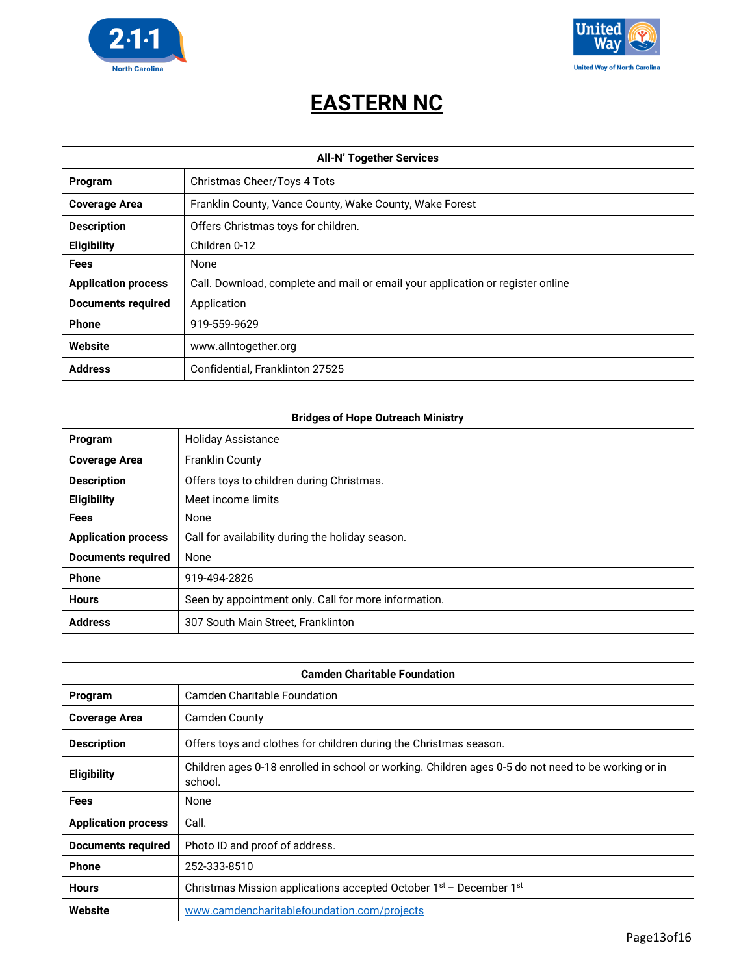



#### **EASTERN NC**

| <b>All-N' Together Services</b> |                                                                                |
|---------------------------------|--------------------------------------------------------------------------------|
| Program                         | Christmas Cheer/Toys 4 Tots                                                    |
| <b>Coverage Area</b>            | Franklin County, Vance County, Wake County, Wake Forest                        |
| <b>Description</b>              | Offers Christmas toys for children.                                            |
| <b>Eligibility</b>              | Children 0-12                                                                  |
| <b>Fees</b>                     | None                                                                           |
| <b>Application process</b>      | Call. Download, complete and mail or email your application or register online |
| <b>Documents required</b>       | Application                                                                    |
| <b>Phone</b>                    | 919-559-9629                                                                   |
| Website                         | www.allntogether.org                                                           |
| <b>Address</b>                  | Confidential, Franklinton 27525                                                |

| <b>Bridges of Hope Outreach Ministry</b> |                                                      |
|------------------------------------------|------------------------------------------------------|
| Program                                  | <b>Holiday Assistance</b>                            |
| <b>Coverage Area</b>                     | <b>Franklin County</b>                               |
| <b>Description</b>                       | Offers toys to children during Christmas.            |
| <b>Eligibility</b>                       | Meet income limits                                   |
| <b>Fees</b>                              | None                                                 |
| <b>Application process</b>               | Call for availability during the holiday season.     |
| <b>Documents required</b>                | None                                                 |
| Phone                                    | 919-494-2826                                         |
| <b>Hours</b>                             | Seen by appointment only. Call for more information. |
| <b>Address</b>                           | 307 South Main Street, Franklinton                   |

| <b>Camden Charitable Foundation</b> |                                                                                                                |
|-------------------------------------|----------------------------------------------------------------------------------------------------------------|
| Program                             | Camden Charitable Foundation                                                                                   |
| <b>Coverage Area</b>                | Camden County                                                                                                  |
| <b>Description</b>                  | Offers toys and clothes for children during the Christmas season.                                              |
| <b>Eligibility</b>                  | Children ages 0-18 enrolled in school or working. Children ages 0-5 do not need to be working or in<br>school. |
| <b>Fees</b>                         | None                                                                                                           |
| <b>Application process</b>          | Call.                                                                                                          |
| <b>Documents required</b>           | Photo ID and proof of address.                                                                                 |
| Phone                               | 252-333-8510                                                                                                   |
| <b>Hours</b>                        | Christmas Mission applications accepted October 1 <sup>st</sup> – December 1 <sup>st</sup>                     |
| Website                             | www.camdencharitablefoundation.com/projects                                                                    |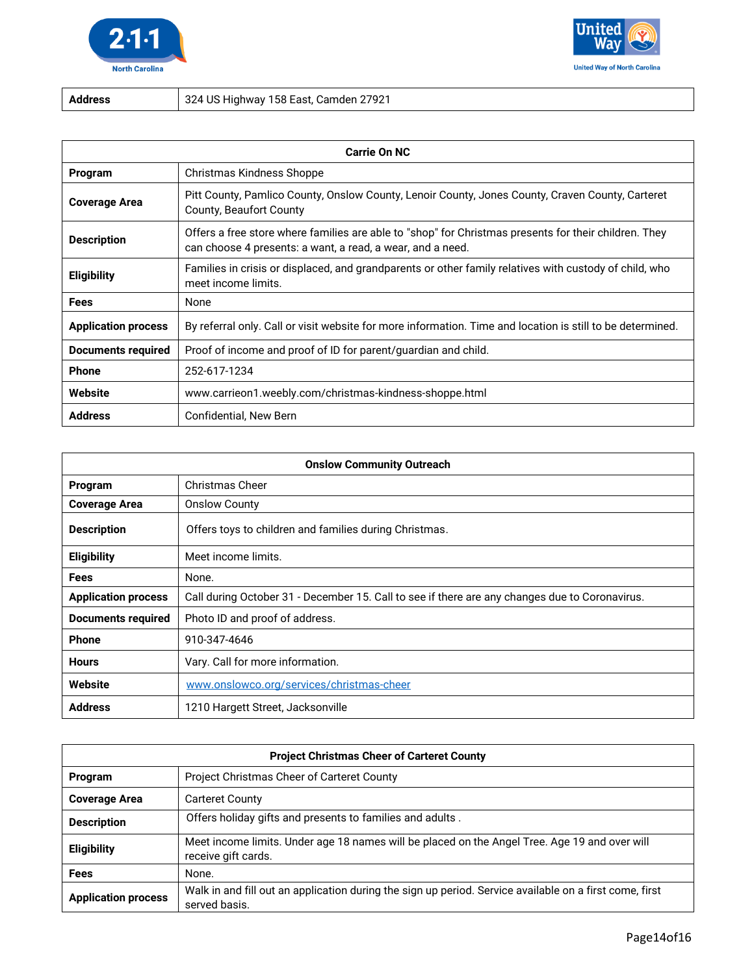



**Address** 324 US Highway 158 East, Camden 27921

| <b>Carrie On NC</b>        |                                                                                                                                                                     |
|----------------------------|---------------------------------------------------------------------------------------------------------------------------------------------------------------------|
| Program                    | Christmas Kindness Shoppe                                                                                                                                           |
| <b>Coverage Area</b>       | Pitt County, Pamlico County, Onslow County, Lenoir County, Jones County, Craven County, Carteret<br>County, Beaufort County                                         |
| <b>Description</b>         | Offers a free store where families are able to "shop" for Christmas presents for their children. They<br>can choose 4 presents: a want, a read, a wear, and a need. |
| <b>Eligibility</b>         | Families in crisis or displaced, and grandparents or other family relatives with custody of child, who<br>meet income limits.                                       |
| <b>Fees</b>                | None                                                                                                                                                                |
| <b>Application process</b> | By referral only. Call or visit website for more information. Time and location is still to be determined.                                                          |
| <b>Documents required</b>  | Proof of income and proof of ID for parent/guardian and child.                                                                                                      |
| <b>Phone</b>               | 252-617-1234                                                                                                                                                        |
| Website                    | www.carrieon1.weebly.com/christmas-kindness-shoppe.html                                                                                                             |
| <b>Address</b>             | Confidential, New Bern                                                                                                                                              |

| <b>Onslow Community Outreach</b> |                                                                                                |
|----------------------------------|------------------------------------------------------------------------------------------------|
| Program                          | <b>Christmas Cheer</b>                                                                         |
| <b>Coverage Area</b>             | <b>Onslow County</b>                                                                           |
| <b>Description</b>               | Offers toys to children and families during Christmas.                                         |
| Eligibility                      | Meet income limits.                                                                            |
| <b>Fees</b>                      | None.                                                                                          |
| <b>Application process</b>       | Call during October 31 - December 15. Call to see if there are any changes due to Coronavirus. |
| <b>Documents required</b>        | Photo ID and proof of address.                                                                 |
| <b>Phone</b>                     | 910-347-4646                                                                                   |
| <b>Hours</b>                     | Vary. Call for more information.                                                               |
| Website                          | www.onslowco.org/services/christmas-cheer                                                      |
| <b>Address</b>                   | 1210 Hargett Street, Jacksonville                                                              |

| <b>Project Christmas Cheer of Carteret County</b> |                                                                                                                          |
|---------------------------------------------------|--------------------------------------------------------------------------------------------------------------------------|
| Program                                           | Project Christmas Cheer of Carteret County                                                                               |
| <b>Coverage Area</b>                              | <b>Carteret County</b>                                                                                                   |
| <b>Description</b>                                | Offers holiday gifts and presents to families and adults.                                                                |
| <b>Eligibility</b>                                | Meet income limits. Under age 18 names will be placed on the Angel Tree. Age 19 and over will<br>receive gift cards.     |
| Fees                                              | None.                                                                                                                    |
| <b>Application process</b>                        | Walk in and fill out an application during the sign up period. Service available on a first come, first<br>served basis. |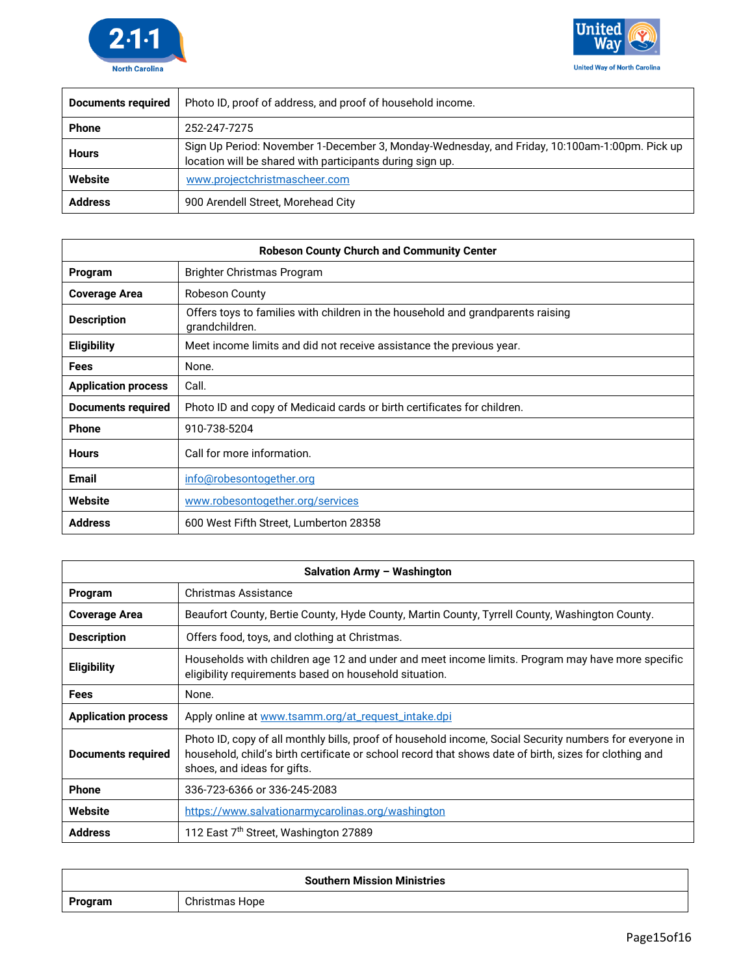



| <b>Documents required</b> | Photo ID, proof of address, and proof of household income.                                                                                                 |
|---------------------------|------------------------------------------------------------------------------------------------------------------------------------------------------------|
| <b>Phone</b>              | 252-247-7275                                                                                                                                               |
| <b>Hours</b>              | Sign Up Period: November 1-December 3, Monday-Wednesday, and Friday, 10:100am-1:00pm. Pick up<br>location will be shared with participants during sign up. |
| Website                   | www.projectchristmascheer.com                                                                                                                              |
| <b>Address</b>            | 900 Arendell Street, Morehead City                                                                                                                         |

| <b>Robeson County Church and Community Center</b> |                                                                                                   |
|---------------------------------------------------|---------------------------------------------------------------------------------------------------|
| Program                                           | Brighter Christmas Program                                                                        |
| <b>Coverage Area</b>                              | Robeson County                                                                                    |
| <b>Description</b>                                | Offers toys to families with children in the household and grandparents raising<br>grandchildren. |
| <b>Eligibility</b>                                | Meet income limits and did not receive assistance the previous year.                              |
| <b>Fees</b>                                       | None.                                                                                             |
| <b>Application process</b>                        | Call.                                                                                             |
| <b>Documents required</b>                         | Photo ID and copy of Medicaid cards or birth certificates for children.                           |
| <b>Phone</b>                                      | 910-738-5204                                                                                      |
| <b>Hours</b>                                      | Call for more information.                                                                        |
| <b>Email</b>                                      | info@robesontogether.org                                                                          |
| Website                                           | www.robesontogether.org/services                                                                  |
| <b>Address</b>                                    | 600 West Fifth Street, Lumberton 28358                                                            |

| <b>Salvation Army - Washington</b> |                                                                                                                                                                                                                                                  |  |
|------------------------------------|--------------------------------------------------------------------------------------------------------------------------------------------------------------------------------------------------------------------------------------------------|--|
| Program                            | Christmas Assistance                                                                                                                                                                                                                             |  |
| <b>Coverage Area</b>               | Beaufort County, Bertie County, Hyde County, Martin County, Tyrrell County, Washington County.                                                                                                                                                   |  |
| <b>Description</b>                 | Offers food, toys, and clothing at Christmas.                                                                                                                                                                                                    |  |
| <b>Eligibility</b>                 | Households with children age 12 and under and meet income limits. Program may have more specific<br>eligibility requirements based on household situation.                                                                                       |  |
| Fees                               | None.                                                                                                                                                                                                                                            |  |
| <b>Application process</b>         | Apply online at www.tsamm.org/at_request_intake.dpi                                                                                                                                                                                              |  |
| <b>Documents required</b>          | Photo ID, copy of all monthly bills, proof of household income, Social Security numbers for everyone in<br>household, child's birth certificate or school record that shows date of birth, sizes for clothing and<br>shoes, and ideas for gifts. |  |
| <b>Phone</b>                       | 336-723-6366 or 336-245-2083                                                                                                                                                                                                                     |  |
| Website                            | https://www.salvationarmycarolinas.org/washington                                                                                                                                                                                                |  |
| <b>Address</b>                     | 112 East 7th Street, Washington 27889                                                                                                                                                                                                            |  |

| <b>Southern Mission Ministries</b> |                |  |
|------------------------------------|----------------|--|
| Program                            | Christmas Hope |  |